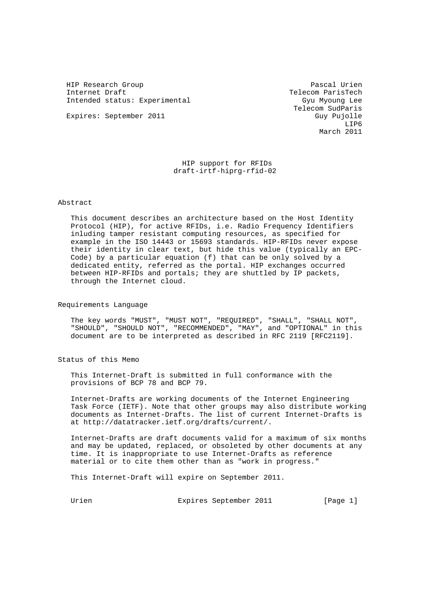HIP Research Group Pascal Urien Internet Draft Telecom ParisTech Intended status: Experimental Gyu Myoung Lee

 Telecom SudParis Expires: September 2011 Guy Pujolle LIP6 March 2011

> HIP support for RFIDs draft-irtf-hiprg-rfid-02

# Abstract

 This document describes an architecture based on the Host Identity Protocol (HIP), for active RFIDs, i.e. Radio Frequency Identifiers inluding tamper resistant computing resources, as specified for example in the ISO 14443 or 15693 standards. HIP-RFIDs never expose their identity in clear text, but hide this value (typically an EPC- Code) by a particular equation (f) that can be only solved by a dedicated entity, referred as the portal. HIP exchanges occurred between HIP-RFIDs and portals; they are shuttled by IP packets, through the Internet cloud.

Requirements Language

 The key words "MUST", "MUST NOT", "REQUIRED", "SHALL", "SHALL NOT", "SHOULD", "SHOULD NOT", "RECOMMENDED", "MAY", and "OPTIONAL" in this document are to be interpreted as described in RFC 2119 [RFC2119].

Status of this Memo

 This Internet-Draft is submitted in full conformance with the provisions of BCP 78 and BCP 79.

 Internet-Drafts are working documents of the Internet Engineering Task Force (IETF). Note that other groups may also distribute working documents as Internet-Drafts. The list of current Internet-Drafts is at http://datatracker.ietf.org/drafts/current/.

 Internet-Drafts are draft documents valid for a maximum of six months and may be updated, replaced, or obsoleted by other documents at any time. It is inappropriate to use Internet-Drafts as reference material or to cite them other than as "work in progress."

This Internet-Draft will expire on September 2011.

Urien 1988 Expires September 2011 1994 [Page 1]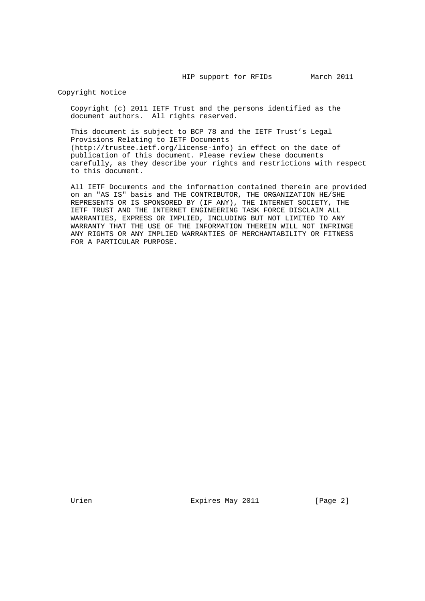Copyright Notice

 Copyright (c) 2011 IETF Trust and the persons identified as the document authors. All rights reserved.

 This document is subject to BCP 78 and the IETF Trust's Legal Provisions Relating to IETF Documents (http://trustee.ietf.org/license-info) in effect on the date of publication of this document. Please review these documents carefully, as they describe your rights and restrictions with respect to this document.

 All IETF Documents and the information contained therein are provided on an "AS IS" basis and THE CONTRIBUTOR, THE ORGANIZATION HE/SHE REPRESENTS OR IS SPONSORED BY (IF ANY), THE INTERNET SOCIETY, THE IETF TRUST AND THE INTERNET ENGINEERING TASK FORCE DISCLAIM ALL WARRANTIES, EXPRESS OR IMPLIED, INCLUDING BUT NOT LIMITED TO ANY WARRANTY THAT THE USE OF THE INFORMATION THEREIN WILL NOT INFRINGE ANY RIGHTS OR ANY IMPLIED WARRANTIES OF MERCHANTABILITY OR FITNESS FOR A PARTICULAR PURPOSE.

Urien 1988 Expires May 2011 1998 [Page 2]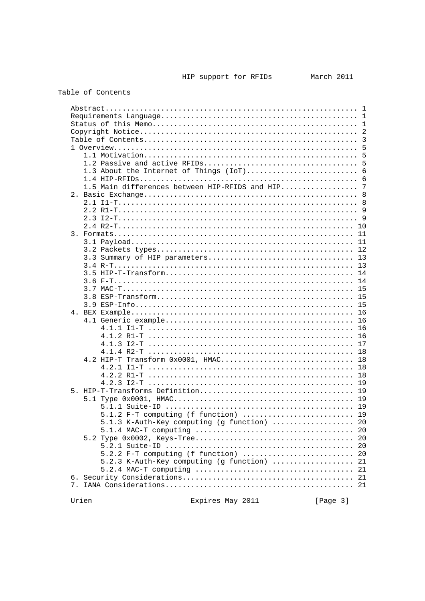| Abstract                                       |          |                |
|------------------------------------------------|----------|----------------|
|                                                |          |                |
|                                                |          |                |
|                                                |          | 2              |
|                                                |          | $\overline{3}$ |
|                                                |          | 5              |
|                                                |          |                |
|                                                |          | 5              |
|                                                |          | 5              |
| 1.3 About the Internet of Things (IoT)         |          | 6              |
|                                                |          | 6              |
| 1.5 Main differences between HIP-RFIDS and HIP |          | 7              |
|                                                |          | - 8            |
|                                                |          |                |
|                                                |          |                |
|                                                |          | - 9            |
|                                                |          |                |
|                                                |          | 10             |
|                                                |          | 11             |
|                                                |          | 11             |
|                                                |          | 12             |
|                                                |          | 13             |
|                                                |          | 13             |
|                                                |          | 14             |
|                                                |          | 14             |
|                                                |          | 15             |
|                                                |          |                |
|                                                |          | 15             |
|                                                |          | 15             |
|                                                |          | 16             |
|                                                |          | 16             |
|                                                |          | 16             |
|                                                |          | 16             |
|                                                |          | 17             |
|                                                |          | 18             |
| 4.2 HIP-T Transform 0x0001, HMAC               |          | 18             |
|                                                |          | 18             |
|                                                |          |                |
|                                                |          | 18             |
| $4.2.3$ $I2-T$                                 |          | 19             |
|                                                |          | 19             |
|                                                |          |                |
|                                                |          |                |
| 5.1.2 F-T computing (f function)  19           |          |                |
| 5.1.3 K-Auth-Key computing (g function)  20    |          |                |
|                                                |          |                |
|                                                |          | 20             |
|                                                |          | 20             |
|                                                |          |                |
| $5.2.2$ F-T computing (f function)             |          | 20             |
| 5.2.3 K-Auth-Key computing (g function)        |          | 21             |
|                                                |          | 21             |
|                                                |          |                |
|                                                |          |                |
|                                                |          |                |
| Urien<br>Expires May 2011                      | [Page 3] |                |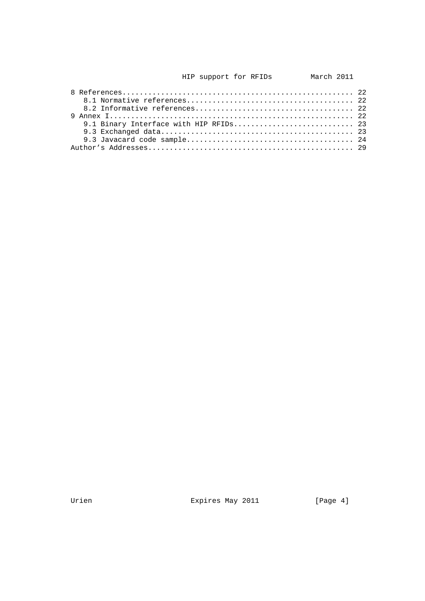| 9.1 Binary Interface with HIP RFIDs 23 |  |
|----------------------------------------|--|
|                                        |  |
|                                        |  |
|                                        |  |

Urien **Expires May 2011** [Page 4]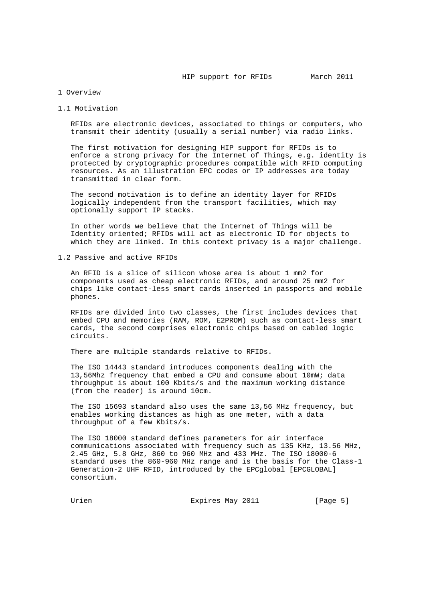### 1 Overview

### 1.1 Motivation

 RFIDs are electronic devices, associated to things or computers, who transmit their identity (usually a serial number) via radio links.

 The first motivation for designing HIP support for RFIDs is to enforce a strong privacy for the Internet of Things, e.g. identity is protected by cryptographic procedures compatible with RFID computing resources. As an illustration EPC codes or IP addresses are today transmitted in clear form.

 The second motivation is to define an identity layer for RFIDs logically independent from the transport facilities, which may optionally support IP stacks.

 In other words we believe that the Internet of Things will be Identity oriented; RFIDs will act as electronic ID for objects to which they are linked. In this context privacy is a major challenge.

1.2 Passive and active RFIDs

 An RFID is a slice of silicon whose area is about 1 mm2 for components used as cheap electronic RFIDs, and around 25 mm2 for chips like contact-less smart cards inserted in passports and mobile phones.

 RFIDs are divided into two classes, the first includes devices that embed CPU and memories (RAM, ROM, E2PROM) such as contact-less smart cards, the second comprises electronic chips based on cabled logic circuits.

There are multiple standards relative to RFIDs.

 The ISO 14443 standard introduces components dealing with the 13,56Mhz frequency that embed a CPU and consume about 10mW; data throughput is about 100 Kbits/s and the maximum working distance (from the reader) is around 10cm.

 The ISO 15693 standard also uses the same 13,56 MHz frequency, but enables working distances as high as one meter, with a data throughput of a few Kbits/s.

 The ISO 18000 standard defines parameters for air interface communications associated with frequency such as 135 KHz, 13.56 MHz, 2.45 GHz, 5.8 GHz, 860 to 960 MHz and 433 MHz. The ISO 18000-6 standard uses the 860-960 MHz range and is the basis for the Class-1 Generation-2 UHF RFID, introduced by the EPCglobal [EPCGLOBAL] consortium.

Urien 1988 Expires May 2011 1988 [Page 5]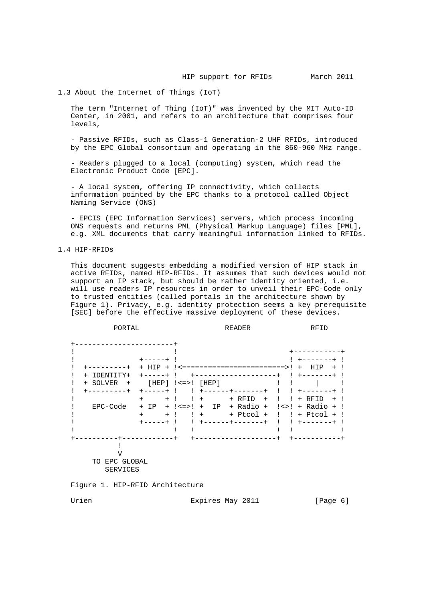1.3 About the Internet of Things (IoT)

 The term "Internet of Thing (IoT)" was invented by the MIT Auto-ID Center, in 2001, and refers to an architecture that comprises four levels,

 - Passive RFIDs, such as Class-1 Generation-2 UHF RFIDs, introduced by the EPC Global consortium and operating in the 860-960 MHz range.

 - Readers plugged to a local (computing) system, which read the Electronic Product Code [EPC].

 - A local system, offering IP connectivity, which collects information pointed by the EPC thanks to a protocol called Object Naming Service (ONS)

 - EPCIS (EPC Information Services) servers, which process incoming ONS requests and returns PML (Physical Markup Language) files [PML], e.g. XML documents that carry meaningful information linked to RFIDs.

1.4 HIP-RFIDs

 This document suggests embedding a modified version of HIP stack in active RFIDs, named HIP-RFIDs. It assumes that such devices would not support an IP stack, but should be rather identity oriented, i.e. will use readers IP resources in order to unveil their EPC-Code only to trusted entities (called portals in the architecture shown by Figure 1). Privacy, e.g. identity protection seems a key prerequisite [SEC] before the effective massive deployment of these devices.

| PORTAL           |             |                          |                                 | <b>READER</b> |    | RFID                                  |
|------------------|-------------|--------------------------|---------------------------------|---------------|----|---------------------------------------|
|                  |             |                          |                                 |               |    |                                       |
|                  |             |                          |                                 |               |    |                                       |
|                  |             |                          |                                 |               |    |                                       |
|                  | HTP<br>$+$  |                          |                                 |               |    | HIP<br>$\overline{+}$                 |
| TDENTITY+<br>$+$ |             |                          |                                 |               |    |                                       |
| + SOLVER<br>$+$  |             | $[HEP]$ $!<=>$ ! $[HEP]$ |                                 |               |    |                                       |
|                  | $- - - - +$ |                          |                                 |               |    |                                       |
|                  | $+$<br>$+$  |                          | $+$                             | + RFID<br>$+$ | Ι. | + RFID<br>$+$                         |
| EPC-Code         | $+$ IP      |                          | $+$ $\leq$ $\geq$ $\geq$ $+$ IP | + Radio +     |    | $! \leftrightarrow !$ + Radio + !     |
|                  | $+$<br>$+$  | Ţ.                       | $+$                             | + Ptcol +     |    | $!$ $!$ $+$ $P_{\text{tcol}}$ $+$ $!$ |
|                  | $- - - - +$ |                          |                                 |               |    |                                       |
|                  |             |                          |                                 |               |    |                                       |
|                  |             |                          |                                 |               |    |                                       |
|                  |             |                          |                                 |               |    |                                       |
| ٦Z               |             |                          |                                 |               |    |                                       |
| TO EPC GLOBAL    |             |                          |                                 |               |    |                                       |
| SERVICES         |             |                          |                                 |               |    |                                       |
|                  |             |                          |                                 |               |    |                                       |

Figure 1. HIP-RFID Architecture

Urien 1988 Expires May 2011 1988 [Page 6]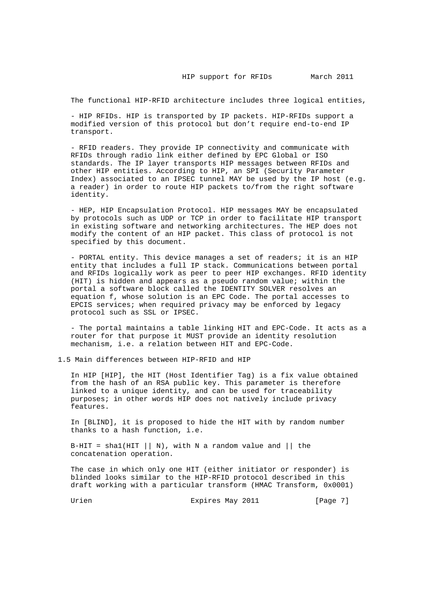The functional HIP-RFID architecture includes three logical entities,

 - HIP RFIDs. HIP is transported by IP packets. HIP-RFIDs support a modified version of this protocol but don't require end-to-end IP transport.

 - RFID readers. They provide IP connectivity and communicate with RFIDs through radio link either defined by EPC Global or ISO standards. The IP layer transports HIP messages between RFIDs and other HIP entities. According to HIP, an SPI (Security Parameter Index) associated to an IPSEC tunnel MAY be used by the IP host (e.g. a reader) in order to route HIP packets to/from the right software identity.

 - HEP, HIP Encapsulation Protocol. HIP messages MAY be encapsulated by protocols such as UDP or TCP in order to facilitate HIP transport in existing software and networking architectures. The HEP does not modify the content of an HIP packet. This class of protocol is not specified by this document.

 - PORTAL entity. This device manages a set of readers; it is an HIP entity that includes a full IP stack. Communications between portal and RFIDs logically work as peer to peer HIP exchanges. RFID identity (HIT) is hidden and appears as a pseudo random value; within the portal a software block called the IDENTITY SOLVER resolves an equation f, whose solution is an EPC Code. The portal accesses to EPCIS services; when required privacy may be enforced by legacy protocol such as SSL or IPSEC.

 - The portal maintains a table linking HIT and EPC-Code. It acts as a router for that purpose it MUST provide an identity resolution mechanism, i.e. a relation between HIT and EPC-Code.

1.5 Main differences between HIP-RFID and HIP

 In HIP [HIP], the HIT (Host Identifier Tag) is a fix value obtained from the hash of an RSA public key. This parameter is therefore linked to a unique identity, and can be used for traceability purposes; in other words HIP does not natively include privacy features.

 In [BLIND], it is proposed to hide the HIT with by random number thanks to a hash function, i.e.

B-HIT = shal(HIT  $||N\rangle$ , with N a random value and  $||$  the concatenation operation.

 The case in which only one HIT (either initiator or responder) is blinded looks similar to the HIP-RFID protocol described in this draft working with a particular transform (HMAC Transform, 0x0001)

Urien 1988 Expires May 2011 1998 [Page 7]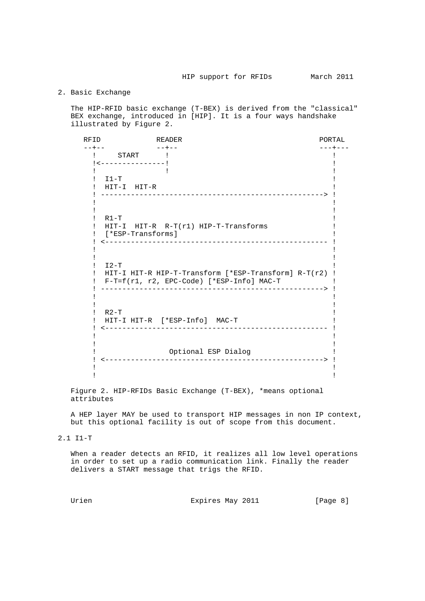# 2. Basic Exchange

 The HIP-RFID basic exchange (T-BEX) is derived from the "classical" BEX exchange, introduced in [HIP]. It is a four ways handshake illustrated by Figure 2.

 RFID READER PORTAL --+-- --+-- ---+--- ! START ! ! !<---------------! !  $\mathbf{P}$  : the set of  $\mathbf{P}$  is the set of  $\mathbf{P}$  is the set of  $\mathbf{P}$  is the set of  $\mathbf{P}$  $!$  I1-T  $!$  ! HIT-I HIT-R ! ! ----------------------------------------------------> ! If you have a set of the set of the set of the set of the set of the set of the set of the set of the set of t If you have a set of the set of the set of the set of the set of the set of the set of the set of the set of t  $\blacksquare$  . R1-T  $\blacksquare$  ! HIT-I HIT-R R-T(r1) HIP-T-Transforms ! ! [\*ESP-Transforms] ! ! <---------------------------------------------------- ! If you have a set of the set of the set of the set of the set of the set of the set of the set of the set of t If you have a set of the set of the set of the set of the set of the set of the set of the set of the set of t  $\blacksquare$   $\blacksquare$   $\blacksquare$   $\blacksquare$   $\blacksquare$   $\blacksquare$   $\blacksquare$   $\blacksquare$   $\blacksquare$   $\blacksquare$   $\blacksquare$   $\blacksquare$   $\blacksquare$   $\blacksquare$   $\blacksquare$   $\blacksquare$   $\blacksquare$   $\blacksquare$   $\blacksquare$   $\blacksquare$   $\blacksquare$   $\blacksquare$   $\blacksquare$   $\blacksquare$   $\blacksquare$   $\blacksquare$   $\blacksquare$   $\blacksquare$   $\blacksquare$   $\blacksquare$   $\blacksquare$   $\blacks$  ! HIT-I HIT-R HIP-T-Transform [\*ESP-Transform] R-T(r2) ! ! F-T=f(r1, r2, EPC-Code) [\*ESP-Info] MAC-T ! ! ----------------------------------------------------> ! If you have a set of the set of the set of the set of the set of the set of the set of the set of the set of t If you have a set of the set of the set of the set of the set of the set of the set of the set of the set of t  $R2-T$   $\qquad \qquad$   $\qquad \qquad$   $\qquad \qquad$   $\qquad \qquad$   $\qquad \qquad$   $\qquad \qquad$   $\qquad \qquad$   $\qquad \qquad$   $\qquad \qquad$   $\qquad \qquad$   $\qquad \qquad$   $\qquad \qquad$   $\qquad \qquad$   $\qquad \qquad$   $\qquad \qquad$   $\qquad \qquad$   $\qquad \qquad$   $\qquad \qquad$   $\qquad \qquad$   $\qquad \qquad$   $\qquad \qquad$   $\qquad \qquad$   $\qquad \qquad$   $\qquad \qquad$  ! HIT-I HIT-R [\*ESP-Info] MAC-T ! ! <---------------------------------------------------- ! If you have a set of the set of the set of the set of the set of the set of the set of the set of the set of t If you have a set of the set of the set of the set of the set of the set of the set of the set of the set of t ! Optional ESP Dialog ! ! <---------------------------------------------------> ! If you have a set of the set of the set of the set of the set of the set of the set of the set of the set of t If you have a set of the set of the set of the set of the set of the set of the set of the set of the set of t

 Figure 2. HIP-RFIDs Basic Exchange (T-BEX), \*means optional attributes

 A HEP layer MAY be used to transport HIP messages in non IP context, but this optional facility is out of scope from this document.

# 2.1 I1-T

 When a reader detects an RFID, it realizes all low level operations in order to set up a radio communication link. Finally the reader delivers a START message that trigs the RFID.

Urien 1988 Expires May 2011 1998 [Page 8]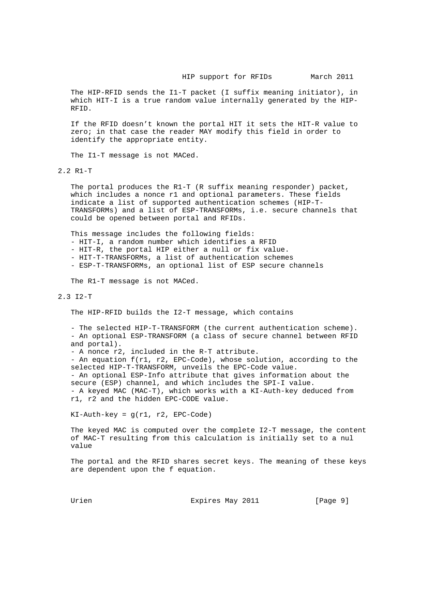The HIP-RFID sends the I1-T packet (I suffix meaning initiator), in which HIT-I is a true random value internally generated by the HIP- RFID.

 If the RFID doesn't known the portal HIT it sets the HIT-R value to zero; in that case the reader MAY modify this field in order to identify the appropriate entity.

The I1-T message is not MACed.

2.2 R1-T

 The portal produces the R1-T (R suffix meaning responder) packet, which includes a nonce r1 and optional parameters. These fields indicate a list of supported authentication schemes (HIP-T- TRANSFORMs) and a list of ESP-TRANSFORMs, i.e. secure channels that could be opened between portal and RFIDs.

This message includes the following fields:

- HIT-I, a random number which identifies a RFID

- HIT-R, the portal HIP either a null or fix value.

- HIT-T-TRANSFORMs, a list of authentication schemes

- ESP-T-TRANSFORMs, an optional list of ESP secure channels

The R1-T message is not MACed.

### 2.3 I2-T

The HIP-RFID builds the I2-T message, which contains

 - The selected HIP-T-TRANSFORM (the current authentication scheme). - An optional ESP-TRANSFORM (a class of secure channel between RFID and portal).

- A nonce r2, included in the R-T attribute.

 - An equation f(r1, r2, EPC-Code), whose solution, according to the selected HIP-T-TRANSFORM, unveils the EPC-Code value. - An optional ESP-Info attribute that gives information about the secure (ESP) channel, and which includes the SPI-I value. - A keyed MAC (MAC-T), which works with a KI-Auth-key deduced from r1, r2 and the hidden EPC-CODE value.

 $KI-Author-key = g(r1, r2, EPC-Code)$ 

 The keyed MAC is computed over the complete I2-T message, the content of MAC-T resulting from this calculation is initially set to a nul value

 The portal and the RFID shares secret keys. The meaning of these keys are dependent upon the f equation.

Urien 1988 Expires May 2011 1998 [Page 9]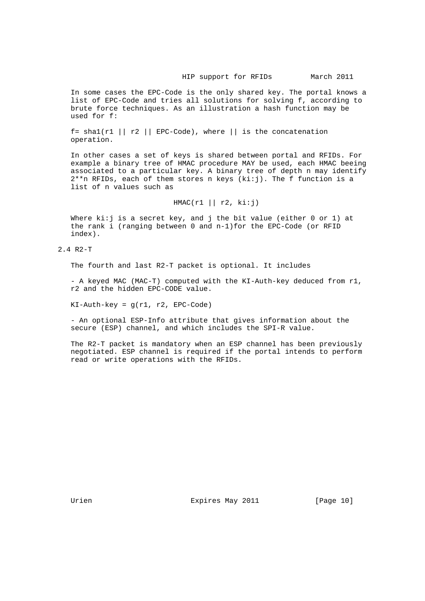In some cases the EPC-Code is the only shared key. The portal knows a list of EPC-Code and tries all solutions for solving f, according to brute force techniques. As an illustration a hash function may be used for f:

f= shal(r1 || r2 || EPC-Code), where || is the concatenation operation.

 In other cases a set of keys is shared between portal and RFIDs. For example a binary tree of HMAC procedure MAY be used, each HMAC beeing associated to a particular key. A binary tree of depth n may identify  $2^{**}$ n RFIDs, each of them stores n keys (ki:j). The f function is a list of n values such as

 $HMAC(r1 || r2, ki:j)$ 

Where  $k_i:j$  is a secret key, and j the bit value (either 0 or 1) at the rank i (ranging between 0 and n-1)for the EPC-Code (or RFID index).

2.4 R2-T

The fourth and last R2-T packet is optional. It includes

 - A keyed MAC (MAC-T) computed with the KI-Auth-key deduced from r1, r2 and the hidden EPC-CODE value.

KI-Auth-key = g(r1, r2, EPC-Code)

 - An optional ESP-Info attribute that gives information about the secure (ESP) channel, and which includes the SPI-R value.

 The R2-T packet is mandatory when an ESP channel has been previously negotiated. ESP channel is required if the portal intends to perform read or write operations with the RFIDs.

Urien **Expires May 2011** [Page 10]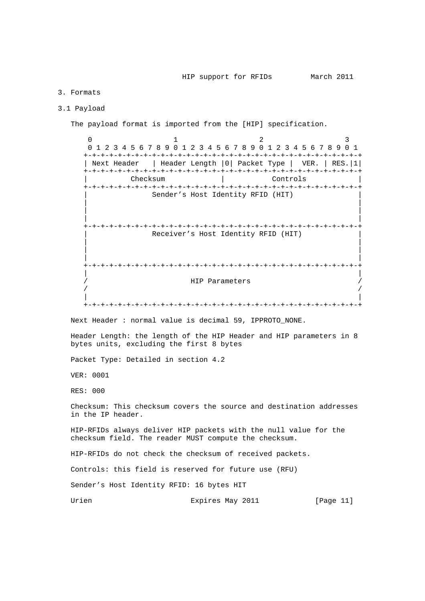# 3. Formats

### 3.1 Payload

The payload format is imported from the [HIP] specification.

0  $1$   $2$   $3$  0 1 2 3 4 5 6 7 8 9 0 1 2 3 4 5 6 7 8 9 0 1 2 3 4 5 6 7 8 9 0 1 +-+-+-+-+-+-+-+-+-+-+-+-+-+-+-+-+-+-+-+-+-+-+-+-+-+-+-+-+-+-+-+-+ | Next Header | Header Length |0| Packet Type | VER. | RES.|1| +-+-+-+-+-+-+-+-+-+-+-+-+-+-+-+-+-+-+-+-+-+-+-+-+-+-+-+-+-+-+-+-+ | Checksum | Controls | +-+-+-+-+-+-+-+-+-+-+-+-+-+-+-+-+-+-+-+-+-+-+-+-+-+-+-+-+-+-+-+-+ Sender's Host Identity RFID (HIT) | | | | | | +-+-+-+-+-+-+-+-+-+-+-+-+-+-+-+-+-+-+-+-+-+-+-+-+-+-+-+-+-+-+-+-+ Receiver's Host Identity RFID (HIT) | | | | | | +-+-+-+-+-+-+-+-+-+-+-+-+-+-+-+-+-+-+-+-+-+-+-+-+-+-+-+-+-+-+-+-+ | | HIP Parameters  $\sqrt{2}$  /  $\sqrt{2}$  /  $\sqrt{2}$  /  $\sqrt{2}$  /  $\sqrt{2}$  /  $\sqrt{2}$  /  $\sqrt{2}$  /  $\sqrt{2}$  /  $\sqrt{2}$  /  $\sqrt{2}$  /  $\sqrt{2}$  /  $\sqrt{2}$  /  $\sqrt{2}$  /  $\sqrt{2}$  /  $\sqrt{2}$  /  $\sqrt{2}$  /  $\sqrt{2}$  /  $\sqrt{2}$  /  $\sqrt{2}$  /  $\sqrt{2}$  /  $\sqrt{2}$  /  $\sqrt{2}$  / | | +-+-+-+-+-+-+-+-+-+-+-+-+-+-+-+-+-+-+-+-+-+-+-+-+-+-+-+-+-+-+-+-+ Next Header : normal value is decimal 59, IPPROTO\_NONE.

 Header Length: the length of the HIP Header and HIP parameters in 8 bytes units, excluding the first 8 bytes

Packet Type: Detailed in section 4.2

VER: 0001

RES: 000

 Checksum: This checksum covers the source and destination addresses in the IP header.

 HIP-RFIDs always deliver HIP packets with the null value for the checksum field. The reader MUST compute the checksum.

HIP-RFIDs do not check the checksum of received packets.

Controls: this field is reserved for future use (RFU)

Sender's Host Identity RFID: 16 bytes HIT

Urien 1988 Expires May 2011 1991 [Page 11]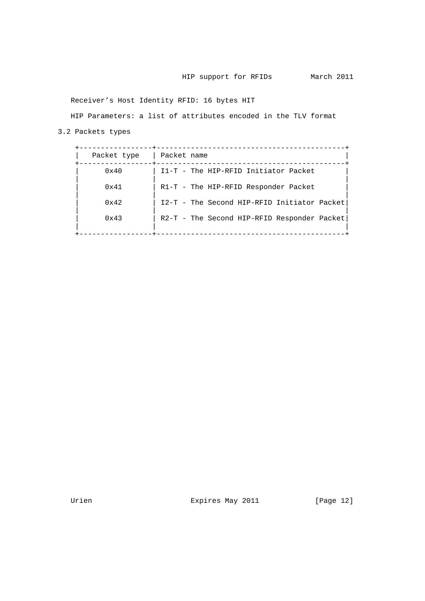Receiver's Host Identity RFID: 16 bytes HIT

HIP Parameters: a list of attributes encoded in the TLV format

3.2 Packets types

| Packet type   | Packet name                                 |
|---------------|---------------------------------------------|
| $0 \times 40$ | I1-T - The HIP-RFID Initiator Packet        |
| 0x41          | R1-T - The HIP-RFID Responder Packet        |
| 0x42          | I2-T - The Second HIP-RFID Initiator Packet |
| $0 \times 43$ | R2-T - The Second HIP-RFID Responder Packet |
|               |                                             |

Urien Expires May 2011 [Page 12]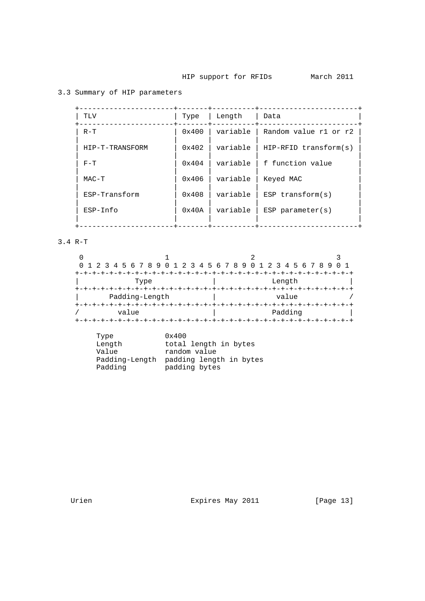# 3.3 Summary of HIP parameters

| TLV             | Type                   | Length   | Data                    |
|-----------------|------------------------|----------|-------------------------|
| $R - T$         | 0x400                  | variable | Random value r1 or r2   |
| HIP-T-TRANSFORM | $0 \times 402$         | variable | $HIP-RFID$ transform(s) |
| $F-T$           | $0 \times 404$         | variable | f function value        |
| $MAC-T$         | 0x406                  | variable | Keyed MAC               |
| ESP-Transform   | 0x408                  | variable | $ESP$ transform( $s$ )  |
| $ESP-Info$      | $0 \times 40 \text{A}$ | variable | $ESP$ parameter( $s$ )  |
|                 |                        |          |                         |

3.4 R-T

| 0 1 2 3 4 5 6 7 8 9 0 1 2 3 4 5 6 7 8 9 0 1 2 3 4 5 6 7 8 9 |         |  |
|-------------------------------------------------------------|---------|--|
|                                                             |         |  |
| Type                                                        | Length  |  |
|                                                             |         |  |
| Padding-Length                                              | value   |  |
|                                                             |         |  |
| value                                                       | Padding |  |
|                                                             |         |  |

| Type           | 0x400                   |
|----------------|-------------------------|
| Length         | total length in bytes   |
| Value          | random value            |
| Padding-Length | padding length in bytes |
| Padding        | padding bytes           |

Urien Expires May 2011 [Page 13]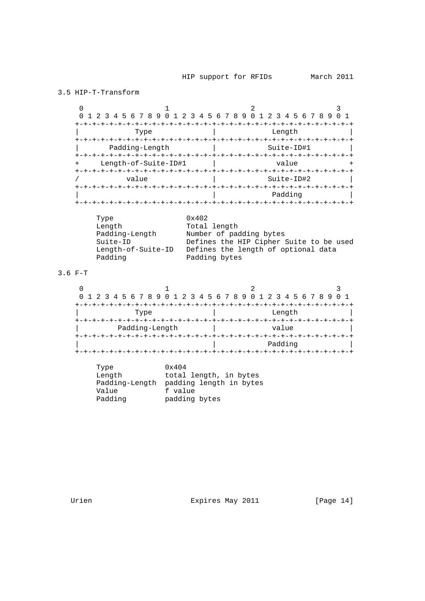3.5 HIP-T-Transform  $0$  1 2 3 0 1 2 3 4 5 6 7 8 9 0 1 2 3 4 5 6 7 8 9 0 1 2 3 4 5 6 7 8 9 0 1 +-+-+-+-+-+-+-+-+-+-+-+-+-+-+-+-+-+-+-+-+-+-+-+-+-+-+-+-+-+-+-+-+ | Type | Length | +-+-+-+-+-+-+-+-+-+-+-+-+-+-+-+-+-+-+-+-+-+-+-+-+-+-+-+-+-+-+-+-+ Padding-Length | Suite-ID | Suite-ID | Suite-ID | Suite-ID | Suite-ID | Suite-ID | Suite-ID | Suite-ID | Suite- +-+-+-+-+-+-+-+-+-+-+-+-+-+-+-+-+-+-+-+-+-+-+-+-+-+-+-+-+-+-+-+-+ Length-of-Suite-ID#1 | value +-+-+-+-+-+-+-+-+-+-+-+-+-+-+-+-+-+-+-+-+-+-+-+-+-+-+-+-+-+-+-+-+ Suite-ID#2 +-+-+-+-+-+-+-+-+-+-+-+-+-+-+-+-+-+-+-+-+-+-+-+-+-+-+-+-+-+-+-+-+ | | Padding | +-+-+-+-+-+-+-+-+-+-+-+-+-+-+-+-+-+-+-+-+-+-+-+-+-+-+-+-+-+-+-+-+ Type  $0x402$ Length Total length Padding-Length Number of padding bytes Suite-ID Defines the HIP Cipher Suite to be used Length-of-Suite-ID Defines the length of optional data Padding **Padding bytes** 3.6 F-T  $0$  1 2 3 0 1 2 3 4 5 6 7 8 9 0 1 2 3 4 5 6 7 8 9 0 1 2 3 4 5 6 7 8 9 0 1 +-+-+-+-+-+-+-+-+-+-+-+-+-+-+-+-+-+-+-+-+-+-+-+-+-+-+-+-+-+-+-+-+ | Type | Length | L +-+-+-+-+-+-+-+-+-+-+-+-+-+-+-+-+-+-+-+-+-+-+-+-+-+-+-+-+-+-+-+-+ Padding-Length | value +-+-+-+-+-+-+-+-+-+-+-+-+-+-+-+-+-+-+-+-+-+-+-+-+-+-+-+-+-+-+-+-+ | | Padding | +-+-+-+-+-+-+-+-+-+-+-+-+-+-+-+-+-+-+-+-+-+-+-+-+-+-+-+-+-+-+-+-+ Type 0x404 Length total length, in bytes Padding-Length padding length in bytes Value f value Padding padding bytes

Urien **Expires May 2011** [Page 14]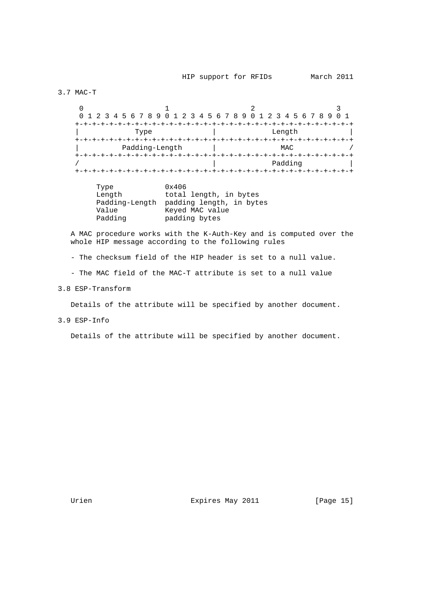3.7 MAC-T

 $0$  1 2 3 0 1 2 3 4 5 6 7 8 9 0 1 2 3 4 5 6 7 8 9 0 1 2 3 4 5 6 7 8 9 0 1 +-+-+-+-+-+-+-+-+-+-+-+-+-+-+-+-+-+-+-+-+-+-+-+-+-+-+-+-+-+-+-+-+ | Type | Length | Length | Length | Length | Length | Length | Length | Length | Length | Length | Length | Length | Length | Length | Length | Length | Length | Length | Length | Length | Length | Length | Length | Length +-+-+-+-+-+-+-+-+-+-+-+-+-+-+-+-+-+-+-+-+-+-+-+-+-+-+-+-+-+-+-+-+ Padding-Length | MAC +-+-+-+-+-+-+-+-+-+-+-+-+-+-+-+-+-+-+-+-+-+-+-+-+-+-+-+-+-+-+-+-+ / | Padding | +-+-+-+-+-+-+-+-+-+-+-+-+-+-+-+-+-+-+-+-+-+-+-+-+-+-+-+-+-+-+-+-+

| Type           | 0x406                    |
|----------------|--------------------------|
| Length         | total length, in bytes   |
| Padding-Length | padding length, in bytes |
| Value          | Keyed MAC value          |
| Padding        | padding bytes            |

 A MAC procedure works with the K-Auth-Key and is computed over the whole HIP message according to the following rules

- The checksum field of the HIP header is set to a null value.

- The MAC field of the MAC-T attribute is set to a null value

3.8 ESP-Transform

Details of the attribute will be specified by another document.

3.9 ESP-Info

Details of the attribute will be specified by another document.

Urien **Expires May 2011** [Page 15]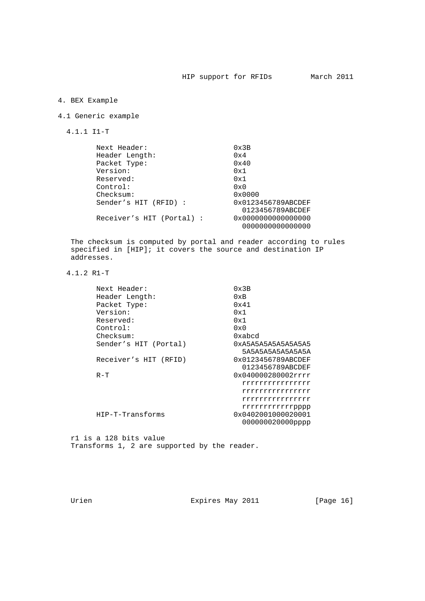# 4. BEX Example

# 4.1 Generic example

4.1.1 I1-T

| Next Header:              | $0 \times 3B$      |
|---------------------------|--------------------|
| Header Length:            | 0x4                |
| Packet Type:              | $0 \times 40$      |
| Version:                  | 0x1                |
| Reserved:                 | 0x1                |
| Control:                  | $0 \times 0$       |
| Checksum:                 | 0x0000             |
| Sender's HIT (RFID) :     | 0x0123456789ABCDEF |
|                           | 0123456789ABCDEF   |
| Receiver's HIT (Portal) : | 0x0000000000000000 |
|                           | 0000000000000000   |

 The checksum is computed by portal and reader according to rules specified in [HIP]; it covers the source and destination IP addresses.

4.1.2 R1-T

| Next Header:          | 0x3B               |
|-----------------------|--------------------|
| Header Length:        | 0xB                |
| Packet Type:          | 0x41               |
| Version:              | 0x1                |
| Reserved:             | 0x1                |
| Control:              | $0 \times 0$       |
| Checksum:             | 0xabcd             |
| Sender's HIT (Portal) | 0xa5a5a5a5a5a5a5a5 |
|                       | 5A5A5A5A5A5A5A5A   |
| Receiver's HIT (RFID) | 0x0123456789ABCDEF |
|                       | 0123456789ABCDEF   |
| $R-T$                 | 0x040000280002rrrr |
|                       | rrrrrrrrrrrrrrrr   |
|                       | rrrrrrrrrrrrrrrr   |
|                       | rrrrrrrrrrrrrrrr   |
|                       | rrrrrrrrrrrpppp    |
| HIP-T-Transforms      | 0x0402001000020001 |
|                       | 000000020000pppp   |
|                       |                    |

 r1 is a 128 bits value Transforms 1, 2 are supported by the reader.

Urien **Expires May 2011** [Page 16]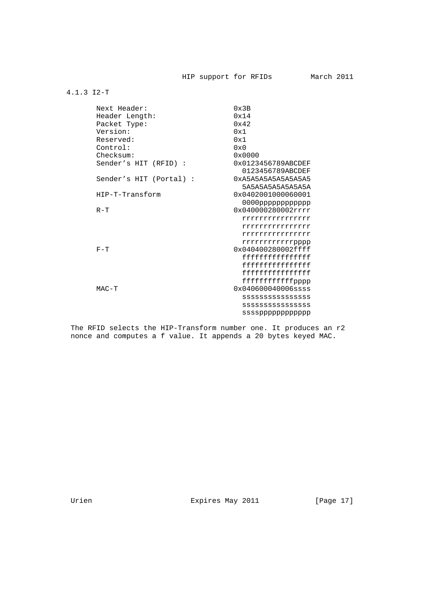# 4.1.3 I2-T

| Next Header:            | 0x3B                                   |
|-------------------------|----------------------------------------|
| Header Length:          | 0x14                                   |
| Packet Type:            | 0x42                                   |
| Version:                | 0x1                                    |
| Reserved:               | 0x1                                    |
| Control:                | $0 \times 0$                           |
| Checksum:               | 0x0000                                 |
| Sender's HIT (RFID) :   | 0x0123456789ABCDEF<br>0123456789ABCDEF |
| Sender's HIT (Portal) : | 0xA5A5A5A5A5A5A5A5<br>5A5A5A5A5A5A5A5A |
| HIP-T-Transform         | 0x0402001000060001                     |
|                         |                                        |
| $R - T$                 | 0x040000280002rrrr                     |
|                         | rrrrrrrrrrrrrrrr                       |
|                         | rrrrrrrrrrrrrrrr                       |
|                         | rrrrrrrrrrrrrrrrr                      |
|                         | rrrrrrrrrrrpppp                        |
| $F-T$                   | 0x040400280002ffff                     |
|                         | ffffffffffffffffff                     |
|                         | fffffffffffffffff                      |
|                         | ffffffffffffffffff                     |
|                         | ffffffffffffpppp                       |
| $MAC-T$                 | $0x040600040006$ ssss                  |
|                         | SSSSSSSSSSSSSSS                        |
|                         | SSSSSSSSSSSSSSS                        |
|                         | ssssppppppppppppp                      |

 The RFID selects the HIP-Transform number one. It produces an r2 nonce and computes a f value. It appends a 20 bytes keyed MAC.

Urien Expires May 2011 [Page 17]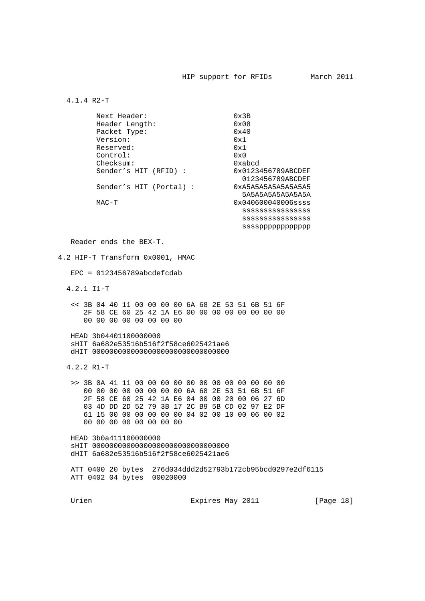4.1.4 R2-T

| Next Header:            | $0 \times 3B$         |
|-------------------------|-----------------------|
| Header Length:          | $0 \times 08$         |
| Packet Type:            | $0 \times 40$         |
| Version:                | 0x1                   |
| Reserved:               | 0x1                   |
| Control:                | $0 \times 0$          |
| Checksum:               | 0xabcd                |
| Sender's HIT (RFID):    | 0x0123456789ABCDEF    |
|                         | 0123456789ABCDEF      |
| Sender's HIT (Portal) : | 0xA5A5A5A5A5A5A5A5    |
|                         | 5A5A5A5A5A5A5A5A      |
| MAC-T                   | $0x040600040006$ ssss |
|                         | SSSSSSSSSSSSSSS       |
|                         | SSSSSSSSSSSSSSS       |
|                         |                       |

Reader ends the BEX-T.

4.2 HIP-T Transform 0x0001, HMAC

 $EPC = 0123456789abcdefcdab$ 

4.2.1 I1-T

 << 3B 04 40 11 00 00 00 00 6A 68 2E 53 51 6B 51 6F 2F 58 CE 60 25 42 1A E6 00 00 00 00 00 00 00 00 00 00 00 00 00 00 00 00

 HEAD 3b04401100000000 sHIT 6a682e53516b516f2f58ce6025421ae6 dHIT 00000000000000000000000000000000

4.2.2 R1-T

 >> 3B 0A 41 11 00 00 00 00 00 00 00 00 00 00 00 00 00 00 00 00 00 00 00 00 6A 68 2E 53 51 6B 51 6F 2F 58 CE 60 25 42 1A E6 04 00 00 20 00 06 27 6D 03 4D DD 2D 52 79 3B 17 2C B9 5B CD 02 97 E2 DF 61 15 00 00 00 00 00 00 04 02 00 10 00 06 00 02 00 00 00 00 00 00 00 00

 HEAD 3b0a411100000000 sHIT 00000000000000000000000000000000 dHIT 6a682e53516b516f2f58ce6025421ae6

 ATT 0400 20 bytes 276d034ddd2d52793b172cb95bcd0297e2df6115 ATT 0402 04 bytes 00020000

Urien 1812 Expires May 2011 1994 [Page 18]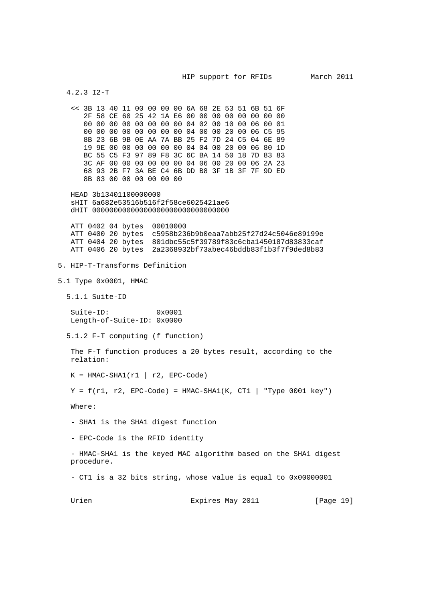```
 4.2.3 I2-T
    << 3B 13 40 11 00 00 00 00 6A 68 2E 53 51 6B 51 6F
       2F 58 CE 60 25 42 1A E6 00 00 00 00 00 00 00 00
       00 00 00 00 00 00 00 00 04 02 00 10 00 06 00 01
       00 00 00 00 00 00 00 00 04 00 00 20 00 06 C5 95
       8B 23 6B 9B 0E AA 7A BB 25 F2 7D 24 C5 04 6E 89
       19 9E 00 00 00 00 00 00 04 04 00 20 00 06 80 1D
      BC 55 C5 F3 97 89 F8 3C 6C BA 14 50 18 7D 83 83
      3C AF 00 00 00 00 00 00 04 06 00 20 00 06 2A 23
      68 93 2B F7 3A BE C4 6B DD B8 3F 1B 3F 7F 9D ED
      8B 83 00 00 00 00 00 00
   HEAD 3b13401100000000
   sHIT 6a682e53516b516f2f58ce6025421ae6
   dHIT 00000000000000000000000000000000
   ATT 0402 04 bytes 00010000
   ATT 0400 20 bytes c5958b236b9b0eaa7abb25f27d24c5046e89199e
   ATT 0404 20 bytes 801dbc55c5f39789f83c6cba1450187d83833caf
   ATT 0406 20 bytes 2a2368932bf73abec46bddb83f1b3f7f9ded8b83
5. HIP-T-Transforms Definition
5.1 Type 0x0001, HMAC
   5.1.1 Suite-ID
   Suite-ID: 0x0001
   Length-of-Suite-ID: 0x0000
   5.1.2 F-T computing (f function)
   The F-T function produces a 20 bytes result, according to the
   relation:
  K = HMAC-SHA1(r1 | r2, EPC-Code)Y = f(r1, r2, EPC-Code) = HMAC-SHA1(K, CT1 | "Type 0001 key") Where:
    - SHA1 is the SHA1 digest function
    - EPC-Code is the RFID identity
    - HMAC-SHA1 is the keyed MAC algorithm based on the SHA1 digest
   procedure.
    - CT1 is a 32 bits string, whose value is equal to 0x00000001
  Urien 1912 Expires May 2011 [Page 19]
```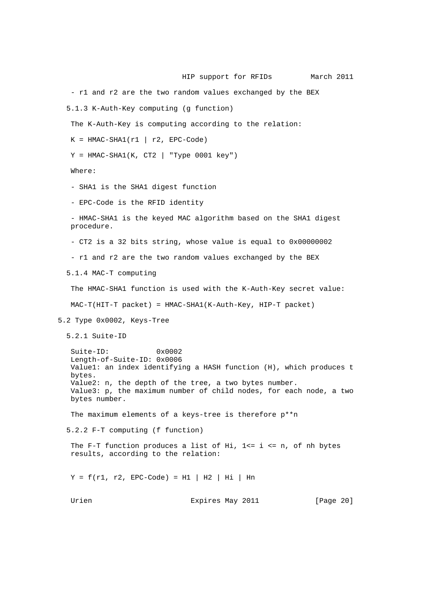HIP support for RFIDs March 2011 - r1 and r2 are the two random values exchanged by the BEX 5.1.3 K-Auth-Key computing (g function) The K-Auth-Key is computing according to the relation:  $K = HMAC-SHA1(r1 | r2, EPC-Code)$  $Y = HMAC-SHA1(K, CT2 | "Type 0001 key")$  Where: - SHA1 is the SHA1 digest function - EPC-Code is the RFID identity - HMAC-SHA1 is the keyed MAC algorithm based on the SHA1 digest procedure. - CT2 is a 32 bits string, whose value is equal to 0x00000002 - r1 and r2 are the two random values exchanged by the BEX 5.1.4 MAC-T computing The HMAC-SHA1 function is used with the K-Auth-Key secret value: MAC-T(HIT-T packet) = HMAC-SHA1(K-Auth-Key, HIP-T packet) 5.2 Type 0x0002, Keys-Tree 5.2.1 Suite-ID Suite-ID: 0x0002 Length-of-Suite-ID: 0x0006 Value1: an index identifying a HASH function (H), which produces t bytes. Value2: n, the depth of the tree, a two bytes number. Value3: p, the maximum number of child nodes, for each node, a two bytes number. The maximum elements of a keys-tree is therefore p\*\*n 5.2.2 F-T computing (f function) The F-T function produces a list of Hi,  $1 \le i \le n$ , of nh bytes results, according to the relation:  $Y = f(r1, r2, EPC-Code) = H1 | H2 | Hi | Hn$ Urien **Expires May 2011** [Page 20]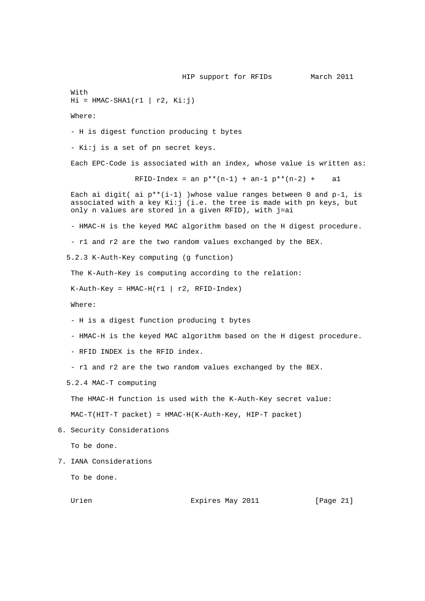HIP support for RFIDs March 2011 With  $Hi = HMAC-SHA1(r1 | r2, Ki:j)$  Where: - H is digest function producing t bytes - Ki:j is a set of pn secret keys. Each EPC-Code is associated with an index, whose value is written as: RFID-Index = an  $p^{**}(n-1)$  + an-1  $p^{**}(n-2)$  + al Each ai digit( ai  $p^{**}(i-1)$  )whose value ranges between 0 and  $p-1$ , is associated with a key Ki:j (i.e. the tree is made with pn keys, but only n values are stored in a given RFID), with j=ai - HMAC-H is the keyed MAC algorithm based on the H digest procedure. - r1 and r2 are the two random values exchanged by the BEX. 5.2.3 K-Auth-Key computing (g function) The K-Auth-Key is computing according to the relation:  $K-Auth-Key = HMAC-H(r1 | r2, RFID-Index)$  Where: - H is a digest function producing t bytes - HMAC-H is the keyed MAC algorithm based on the H digest procedure. - RFID INDEX is the RFID index. - r1 and r2 are the two random values exchanged by the BEX. 5.2.4 MAC-T computing The HMAC-H function is used with the K-Auth-Key secret value: MAC-T(HIT-T packet) = HMAC-H(K-Auth-Key, HIP-T packet) 6. Security Considerations To be done. 7. IANA Considerations To be done. Urien 1988 Expires May 2011 1998 [Page 21]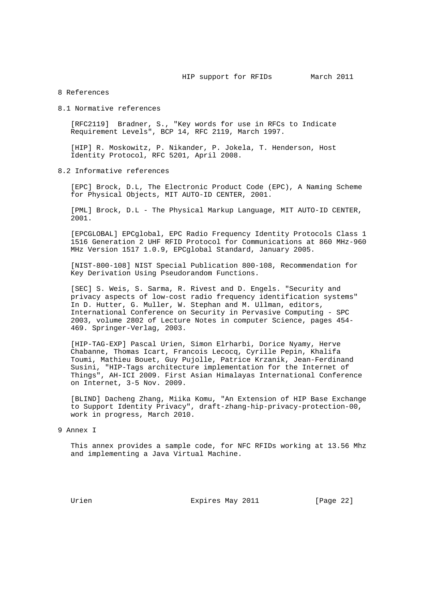### 8 References

#### 8.1 Normative references

 [RFC2119] Bradner, S., "Key words for use in RFCs to Indicate Requirement Levels", BCP 14, RFC 2119, March 1997.

 [HIP] R. Moskowitz, P. Nikander, P. Jokela, T. Henderson, Host Identity Protocol, RFC 5201, April 2008.

# 8.2 Informative references

 [EPC] Brock, D.L, The Electronic Product Code (EPC), A Naming Scheme for Physical Objects, MIT AUTO-ID CENTER, 2001.

 [PML] Brock, D.L - The Physical Markup Language, MIT AUTO-ID CENTER, 2001.

 [EPCGLOBAL] EPCglobal, EPC Radio Frequency Identity Protocols Class 1 1516 Generation 2 UHF RFID Protocol for Communications at 860 MHz-960 MHz Version 1517 1.0.9, EPCglobal Standard, January 2005.

 [NIST-800-108] NIST Special Publication 800-108, Recommendation for Key Derivation Using Pseudorandom Functions.

 [SEC] S. Weis, S. Sarma, R. Rivest and D. Engels. "Security and privacy aspects of low-cost radio frequency identification systems" In D. Hutter, G. Muller, W. Stephan and M. Ullman, editors, International Conference on Security in Pervasive Computing - SPC 2003, volume 2802 of Lecture Notes in computer Science, pages 454- 469. Springer-Verlag, 2003.

 [HIP-TAG-EXP] Pascal Urien, Simon Elrharbi, Dorice Nyamy, Herve Chabanne, Thomas Icart, Francois Lecocq, Cyrille Pepin, Khalifa Toumi, Mathieu Bouet, Guy Pujolle, Patrice Krzanik, Jean-Ferdinand Susini, "HIP-Tags architecture implementation for the Internet of Things", AH-ICI 2009. First Asian Himalayas International Conference on Internet, 3-5 Nov. 2009.

 [BLIND] Dacheng Zhang, Miika Komu, "An Extension of HIP Base Exchange to Support Identity Privacy", draft-zhang-hip-privacy-protection-00, work in progress, March 2010.

#### 9 Annex I

 This annex provides a sample code, for NFC RFIDs working at 13.56 Mhz and implementing a Java Virtual Machine.

Urien 1988 Expires May 2011 1998 [Page 22]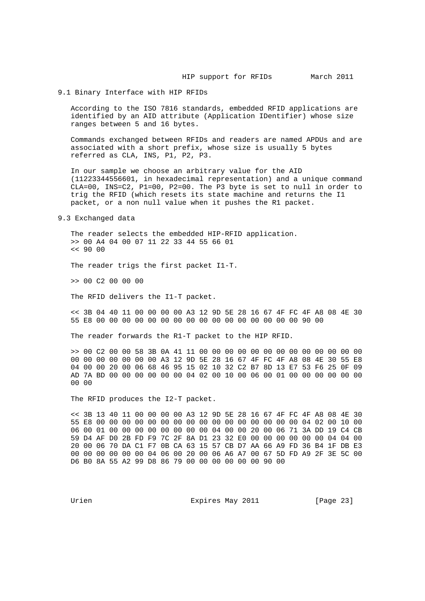### 9.1 Binary Interface with HIP RFIDs

 According to the ISO 7816 standards, embedded RFID applications are identified by an AID attribute (Application IDentifier) whose size ranges between 5 and 16 bytes.

 Commands exchanged between RFIDs and readers are named APDUs and are associated with a short prefix, whose size is usually 5 bytes referred as CLA, INS, P1, P2, P3.

 In our sample we choose an arbitrary value for the AID (11223344556601, in hexadecimal representation) and a unique command CLA=00, INS=C2, P1=00, P2=00. The P3 byte is set to null in order to trig the RFID (which resets its state machine and returns the I1 packet, or a non null value when it pushes the R1 packet.

9.3 Exchanged data

 The reader selects the embedded HIP-RFID application. >> 00 A4 04 00 07 11 22 33 44 55 66 01  $<< 9000$ 

The reader trigs the first packet I1-T.

>> 00 C2 00 00 00

The RFID delivers the I1-T packet.

 << 3B 04 40 11 00 00 00 00 A3 12 9D 5E 28 16 67 4F FC 4F A8 08 4E 30 55 E8 00 00 00 00 00 00 00 00 00 00 00 00 00 00 00 00 90 00

The reader forwards the R1-T packet to the HIP RFID.

 >> 00 C2 00 00 58 3B 0A 41 11 00 00 00 00 00 00 00 00 00 00 00 00 00 00 00 00 00 00 00 00 A3 12 9D 5E 28 16 67 4F FC 4F A8 08 4E 30 55 E8 04 00 00 20 00 06 68 46 95 15 02 10 32 C2 B7 8D 13 E7 53 F6 25 0F 09 AD 7A BD 00 00 00 00 00 00 04 02 00 10 00 06 00 01 00 00 00 00 00 00 00 00

The RFID produces the I2-T packet.

 << 3B 13 40 11 00 00 00 00 A3 12 9D 5E 28 16 67 4F FC 4F A8 08 4E 30 55 E8 00 00 00 00 00 00 00 00 00 00 00 00 00 00 00 00 04 02 00 10 00 06 00 01 00 00 00 00 00 00 00 00 04 00 00 20 00 06 71 3A DD 19 C4 CB 59 D4 AF D0 2B FD F9 7C 2F 8A D1 23 32 E0 00 00 00 00 00 00 04 04 00 20 00 06 70 DA C1 F7 0B CA 63 15 57 CB D7 AA 66 A9 FD 36 B4 1F DB E3 00 00 00 00 00 00 04 06 00 20 00 06 A6 A7 00 67 5D FD A9 2F 3E 5C 00 D6 B0 8A 55 A2 99 D8 86 79 00 00 00 00 00 00 90 00

Urien **Expires May 2011** [Page 23]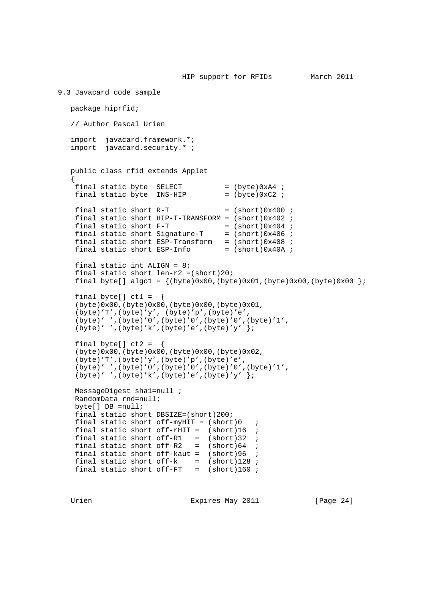```
9.3 Javacard code sample
   package hiprfid;
    // Author Pascal Urien
    import javacard.framework.*;
    import javacard.security.* ;
   public class rfid extends Applet
    {
   final static byte SELECT = (byte)0xA4;<br>final static byte INS-HIP = (byte)0xC2;
   final static byte INS-HIP
   final static short R-T = (short)0x400 ;
    final static short HIP-T-TRANSFORM = (short)0x402 ;
final static short F-T = (short)0x404 ;
final static short Signature-T = (short)0x406 ;
   final static short ESP-Transform = (short)0x408 ;
   final static short ESP-Info = (short)0x40A ;
    final static int ALIGN = 8;
   final static short len-r2 = (short)20;
   final byte[] algo1 = {(byte)0x00, (byte)0x01, (byte)0x00, (byte)0x00 }final byte[] ct1 = (byte)0x00,(byte)0x00,(byte)0x00,(byte)0x01,
    (byte)'T',(byte)'y', (byte)'p',(byte)'e',
     (byte)' ',(byte)'0',(byte)'0',(byte)'0',(byte)'1',
    (byte)' ',(byte)'k',(byte)'e',(byte)'y' };
   final byte[] ct2 =
     (byte)0x00,(byte)0x00,(byte)0x00,(byte)0x02,
     (byte)'T',(byte)'y',(byte)'p',(byte)'e',
     (byte)' ',(byte)'0',(byte)'0',(byte)'0',(byte)'1',
    (byte)' ',(byte)'k',(byte)'e',(byte)'y' };
    MessageDigest sha1=null ;
    RandomData rnd=null;
    byte[] DB =null;
    final static short DBSIZE=(short)200;
   final static short off-myHIT = (short)0 ;
   final static short off-rHIT = (short)16 ;
final static short of f-R1 = (short)32 ;
final static short off-R2 = (short)64 ;
    final static short off-kaut = (short)96 ;
   final static short off-k = (short)128 ;
   final static short off-FT = (short)160 ;
```
Urien 1988 Expires May 2011 1998 [Page 24]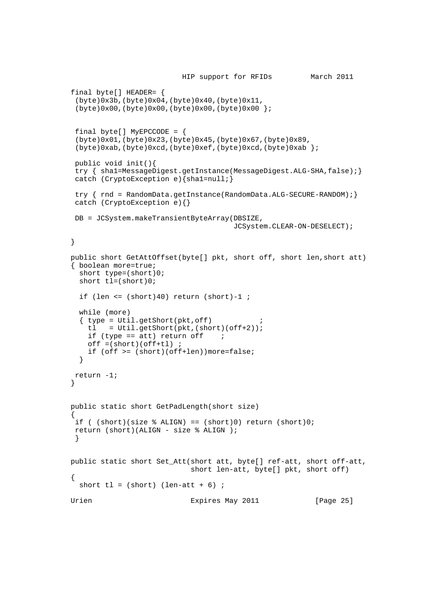```
 HIP support for RFIDs March 2011
    final byte[] HEADER= {
     (byte)0x3b,(byte)0x04,(byte)0x40,(byte)0x11,
     (byte)0x00,(byte)0x00,(byte)0x00,(byte)0x00 };
    final byte[] MyEPCCODE = \{ (byte)0x01,(byte)0x23,(byte)0x45,(byte)0x67,(byte)0x89,
     (byte)0xab,(byte)0xcd,(byte)0xef,(byte)0xcd,(byte)0xab };
     public void init(){
     try { sha1=MessageDigest.getInstance(MessageDigest.ALG-SHA,false);}
     catch (CryptoException e){sha1=null;}
    try { rnd = RandomData.getInstance(RandomData.ALG-SECURE-RANDOM); }
     catch (CryptoException e){}
     DB = JCSystem.makeTransientByteArray(DBSIZE,
                                                 JCSystem.CLEAR-ON-DESELECT);
    }
    public short GetAttOffset(byte[] pkt, short off, short len,short att)
    { boolean more=true;
      short type=(short)0;
      short tl=(short)0;
     if (len \le (short)40) return (short)-1 ;
      while (more)
     \{ type = Util.getShort(pkt,off) \}tl = Util.getShort(pkt,(short)(off+2));
        if (type == att) return off ;
       off = (short)(off + tl);
         if (off >= (short)(off+len))more=false;
      }
     return -1;
    }
    public static short GetPadLength(short size)
   \left\{ \right.if ( (short)(size % ALIGN) == (short)0) return (short)0; return (short)(ALIGN - size % ALIGN );
     }
    public static short Set_Att(short att, byte[] ref-att, short off-att,
                                     short len-att, byte[] pkt, short off)
\{ \cdot \cdot \cdot \cdot \cdot \cdot \cdot \cdot \cdot \cdot \cdot \cdot \cdot \cdot \cdot \cdot \cdot \cdot \cdot \cdot \cdot \cdot \cdot \cdot \cdot \cdot \cdot \cdot \cdot \cdot \cdot \cdot \cdot \cdot \cdot \cdot 
     short tl = (short) (len-att + 6) ;
   Urien 1988 Expires May 2011 1998 [Page 25]
```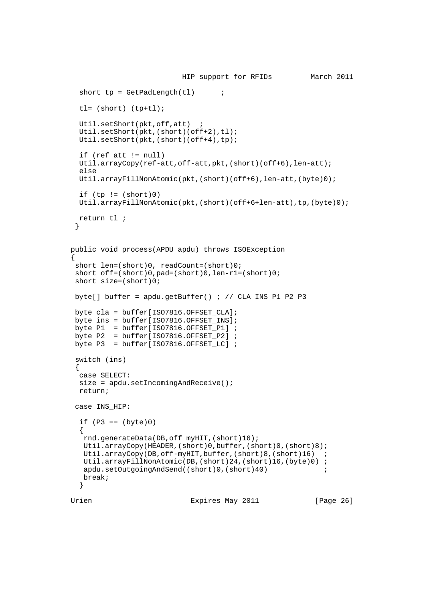```
 HIP support for RFIDs March 2011
     short tp = GetPadLength(t1) ;
      tl= (short) (tp+tl);
      Util.setShort(pkt,off,att) ;
     Util.setShort(pkt,(short)(off+2),tl);
      Util.setShort(pkt,(short)(off+4),tp);
      if (ref_att != null)
      Util.arrayCopy(ref-att,off-att,pkt,(short)(off+6),len-att);
      else
      Util.arrayFillNonAtomic(pkt,(short)(off+6),len-att,(byte)0);
     if (tp := (short)0) Util.arrayFillNonAtomic(pkt,(short)(off+6+len-att),tp,(byte)0);
      return tl ;
     }
    public void process(APDU apdu) throws ISOException
\{ \cdot \cdot \cdot \cdot \cdot \cdot \cdot \cdot \cdot \cdot \cdot \cdot \cdot \cdot \cdot \cdot \cdot \cdot \cdot \cdot \cdot \cdot \cdot \cdot \cdot \cdot \cdot \cdot \cdot \cdot \cdot \cdot \cdot \cdot \cdot \cdot 
    short len=(short)0, readCount=(short)0;
     short off=(short)0,pad=(short)0,len-r1=(short)0;
     short size=(short)0;
    byte[] buffer = apdu.getBuffer() ; // CLA INS P1 P2 P3
    byte cla = buffer[ISO7816.OFFSET CLA]; byte ins = buffer[ISO7816.OFFSET_INS];
byte P1 = buffer[ISO7816.OFFSET_P1] ;
byte P2 = buffer[ISO7816.OFFSET_P2] ;
    byte P2 = 5unier (1507816.OFFSET_LC] ;<br>byte P3 = 5uffer[ISO7816.OFFSET_LC] ;
     switch (ins)
     {
      case SELECT:
      size = apdu.setIncomingAndReceive();
      return;
     case INS_HIP:
     if (P3 == (byte)0) {
       rnd.generateData(DB,off_myHIT,(short)16);
       Util.arrayCopy(HEADER,(short)0,buffer,(short)0,(short)8);
      Util.arrayCopy(DB,off-myHIT,buffer,(short)8,(short)16) ;
       Util.arrayFillNonAtomic(DB,(short)24,(short)16,(byte)0) ;
      apdu.setOutgoingAndSend((short)0,(short)40) ;
       break;
      }
   Urien 1988 Expires May 2011 1998 [Page 26]
```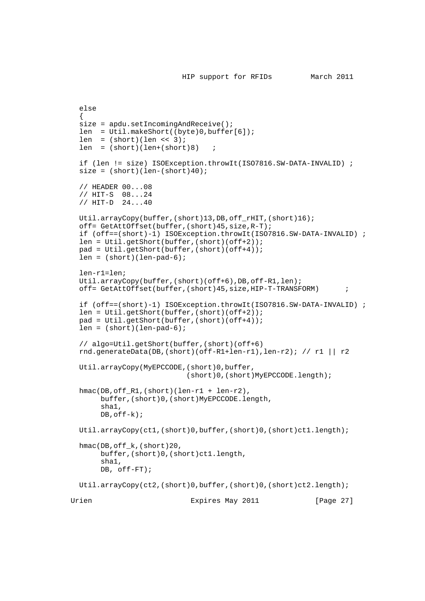```
 else
     {
    size = apdu.setIncomingAndReceive();
 len = Util.makeShort((byte)0,buffer[6]);
len = (short)(len << 3); len = (short)(len+(short)8) ;
     if (len != size) ISOException.throwIt(ISO7816.SW-DATA-INVALID) ;
    size = (short)(len-(short)40); // HEADER 00...08
     // HIT-S 08...24
     // HIT-D 24...40
     Util.arrayCopy(buffer,(short)13,DB,off_rHIT,(short)16);
     off= GetAttOffset(buffer,(short)45,size,R-T);
     if (off==(short)-1) ISOException.throwIt(ISO7816.SW-DATA-INVALID) ;
     len = Util.getShort(buffer,(short)(off+2));
     pad = Util.getShort(buffer,(short)(off+4));
    len = (short)(len-pad-6); len-r1=len;
     Util.arrayCopy(buffer,(short)(off+6),DB,off-R1,len);
     off= GetAttOffset(buffer,(short)45,size,HIP-T-TRANSFORM) ;
     if (off==(short)-1) ISOException.throwIt(ISO7816.SW-DATA-INVALID) ;
     len = Util.getShort(buffer,(short)(off+2));
     pad = Util.getShort(buffer,(short)(off+4));
    len = (short)(len-pad-6); // algo=Util.getShort(buffer,(short)(off+6)
    rnd.generateData(DB,(short)(off-R1+len-r1),len-r2); // r1 || r2
     Util.arrayCopy(MyEPCCODE,(short)0,buffer,
                               (short)0,(short)MyEPCCODE.length);
     hmac(DB,off_R1,(short)(len-r1 + len-r2),
          buffer,(short)0,(short)MyEPCCODE.length,
          sha1,
         DB, of f-k);
     Util.arrayCopy(ct1,(short)0,buffer,(short)0,(short)ct1.length);
     hmac(DB,off_k,(short)20,
          buffer,(short)0,(short)ct1.length,
          sha1,
          DB, off-FT);
    Util.arrayCopy(ct2,(short)0,buffer,(short)0,(short)ct2.length);
  Urien 1988 Expires May 2011 1998 [Page 27]
```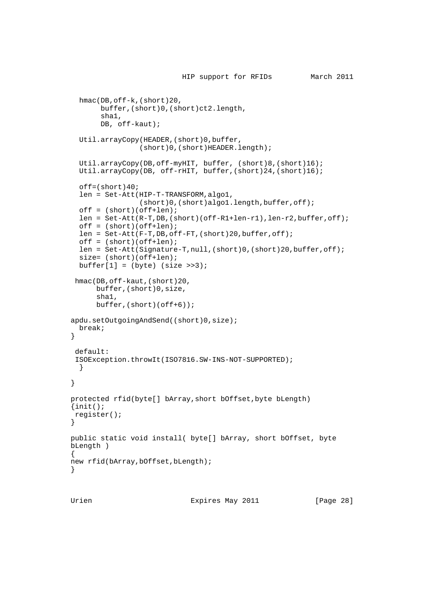```
 HIP support for RFIDs March 2011
   hmac(DB,off-k,(short)20,
       buffer,(short)0,(short)ct2.length,
        sha1,
        DB, off-kaut);
   Util.arrayCopy(HEADER,(short)0,buffer,
                 (short)0,(short)HEADER.length);
   Util.arrayCopy(DB,off-myHIT, buffer, (short)8,(short)16);
   Util.arrayCopy(DB, off-rHIT, buffer,(short)24,(short)16);
  off=(short.140; len = Set-Att(HIP-T-TRANSFORM,algo1,
                (short)0,(short)algo1.length,buffer,off);
  off = (short)(off+len); len = Set-Att(R-T,DB,(short)(off-R1+len-r1),len-r2,buffer,off);
   off = (short)(off+len);
   len = Set-Att(F-T,DB,off-FT,(short)20,buffer,off);
  off = (short)(off+len); len = Set-Att(Signature-T,null,(short)0,(short)20,buffer,off);
  size= (short)(off+len);
 buffer[1] = (byte) (size >>3); hmac(DB,off-kaut,(short)20,
       buffer,(short)0,size,
       sha1,
       buffer,(short)(off+6));
 apdu.setOutgoingAndSend((short)0,size);
  break;
 }
  default:
  ISOException.throwIt(ISO7816.SW-INS-NOT-SUPPORTED);
   }
 }
 protected rfid(byte[] bArray,short bOffset,byte bLength)
\{init(); register();
 }
 public static void install( byte[] bArray, short bOffset, byte
 bLength )
 {
new rfid(bArray, bOffset, bLength);
 }
```
Urien 1988 Expires May 2011 1998 [Page 28]